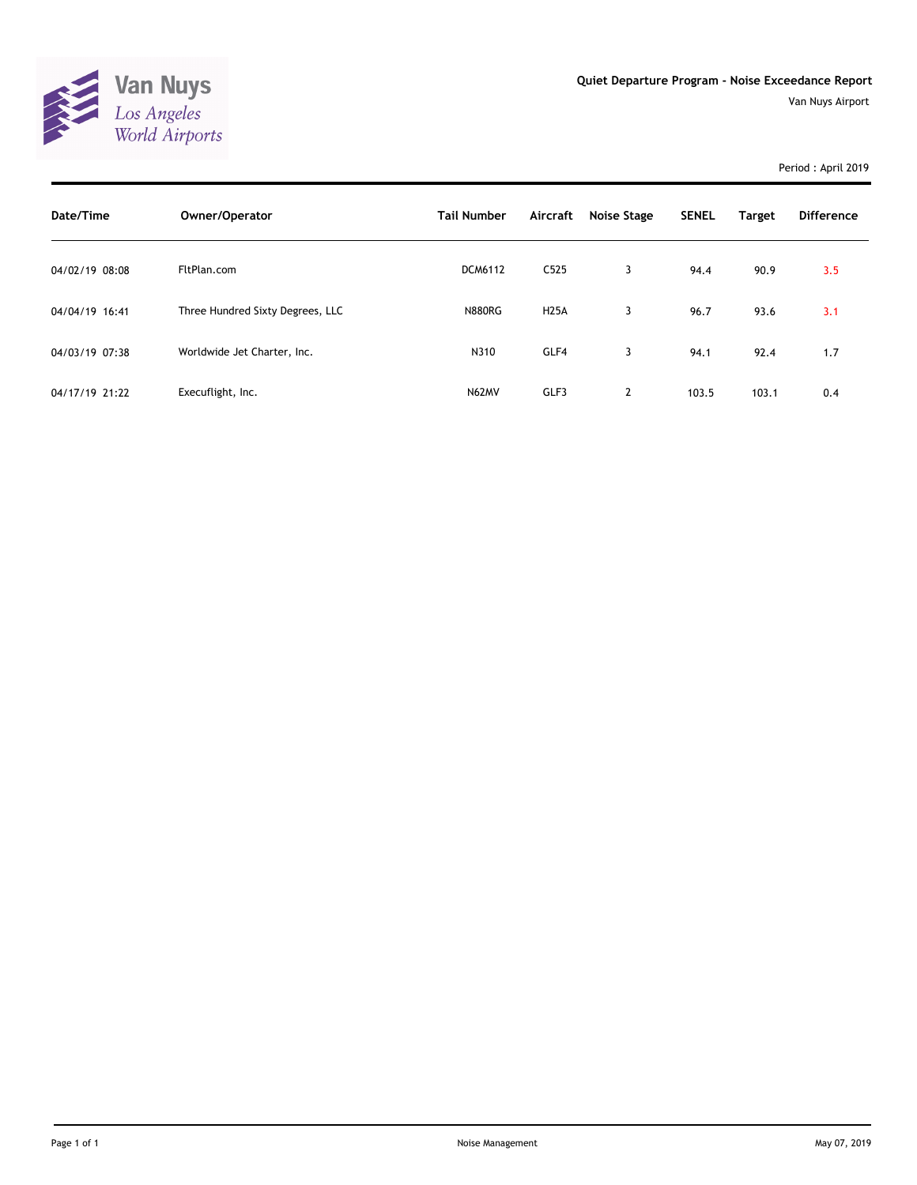

Period : April 2019

| Date/Time      | Owner/Operator                   | <b>Tail Number</b> | Aircraft         | Noise Stage    | <b>SENEL</b> | <b>Target</b> | <b>Difference</b> |
|----------------|----------------------------------|--------------------|------------------|----------------|--------------|---------------|-------------------|
| 04/02/19 08:08 | FltPlan.com                      | <b>DCM6112</b>     | C <sub>525</sub> | 3              | 94.4         | 90.9          | 3.5               |
| 04/04/19 16:41 | Three Hundred Sixty Degrees, LLC | <b>N880RG</b>      | <b>H25A</b>      | 3              | 96.7         | 93.6          | 3.1               |
| 04/03/19 07:38 | Worldwide Jet Charter, Inc.      | N310               | GLF4             | 3              | 94.1         | 92.4          | 1.7               |
| 04/17/19 21:22 | Execuflight, Inc.                | N62MV              | GLF3             | $\overline{2}$ | 103.5        | 103.1         | 0.4               |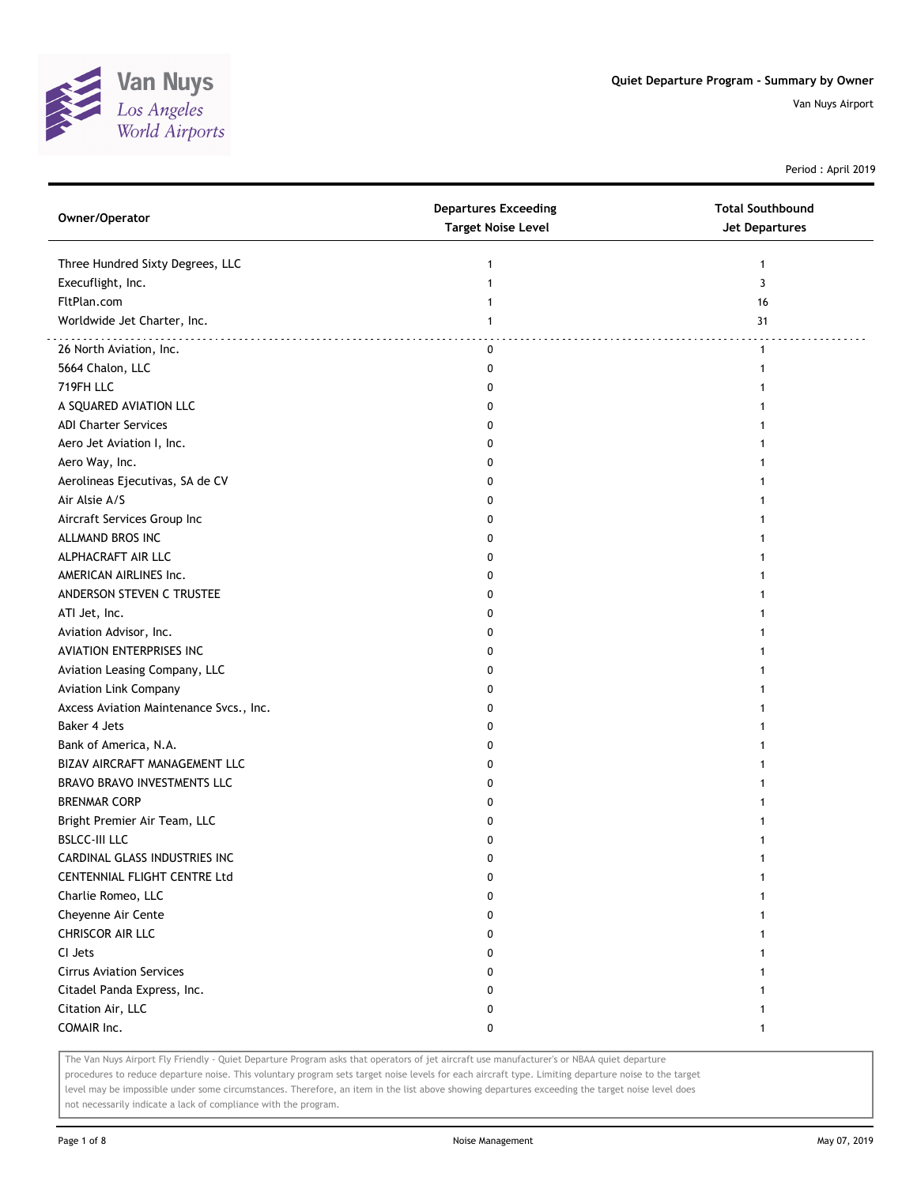

Period : April 2019

| Owner/Operator                          | <b>Departures Exceeding</b><br><b>Target Noise Level</b> | <b>Total Southbound</b><br><b>Jet Departures</b> |
|-----------------------------------------|----------------------------------------------------------|--------------------------------------------------|
| Three Hundred Sixty Degrees, LLC        | 1                                                        | 1                                                |
| Execuflight, Inc.                       | 1                                                        | 3                                                |
| FltPlan.com                             | 1                                                        | 16                                               |
| Worldwide Jet Charter, Inc.             | 1                                                        | 31                                               |
| 26 North Aviation, Inc.                 | $\mathbf 0$                                              | $\mathbf{1}$                                     |
| 5664 Chalon, LLC                        | 0                                                        | 1                                                |
| 719FH LLC                               | 0                                                        |                                                  |
| A SQUARED AVIATION LLC                  | 0                                                        |                                                  |
| <b>ADI Charter Services</b>             | 0                                                        |                                                  |
| Aero Jet Aviation I, Inc.               | 0                                                        |                                                  |
| Aero Way, Inc.                          | 0                                                        |                                                  |
| Aerolineas Ejecutivas, SA de CV         | 0                                                        |                                                  |
| Air Alsie A/S                           | 0                                                        |                                                  |
| Aircraft Services Group Inc             | 0                                                        |                                                  |
| ALLMAND BROS INC                        | 0                                                        |                                                  |
| ALPHACRAFT AIR LLC                      | 0                                                        |                                                  |
| AMERICAN AIRLINES Inc.                  | 0                                                        |                                                  |
| ANDERSON STEVEN C TRUSTEE               | 0                                                        |                                                  |
| ATI Jet, Inc.                           | 0                                                        |                                                  |
| Aviation Advisor, Inc.                  | 0                                                        |                                                  |
| <b>AVIATION ENTERPRISES INC</b>         | 0                                                        |                                                  |
| Aviation Leasing Company, LLC           | 0                                                        |                                                  |
| <b>Aviation Link Company</b>            | 0                                                        |                                                  |
| Axcess Aviation Maintenance Svcs., Inc. | 0                                                        |                                                  |
| Baker 4 Jets                            | 0                                                        |                                                  |
| Bank of America, N.A.                   | 0                                                        |                                                  |
| BIZAV AIRCRAFT MANAGEMENT LLC           | 0                                                        |                                                  |
| BRAVO BRAVO INVESTMENTS LLC             | 0                                                        |                                                  |
| <b>BRENMAR CORP</b>                     | 0                                                        |                                                  |
| Bright Premier Air Team, LLC            | 0                                                        |                                                  |
| <b>BSLCC-III LLC</b>                    | 0                                                        |                                                  |
| CARDINAL GLASS INDUSTRIES INC           | 0                                                        | 1                                                |
| CENTENNIAL FLIGHT CENTRE Ltd            | 0                                                        | $\mathbf{1}$                                     |
| Charlie Romeo, LLC                      | 0                                                        |                                                  |
| Cheyenne Air Cente                      | 0                                                        |                                                  |
| CHRISCOR AIR LLC                        | 0                                                        |                                                  |
| CI Jets                                 | 0                                                        |                                                  |
| <b>Cirrus Aviation Services</b>         | 0                                                        |                                                  |
| Citadel Panda Express, Inc.             | 0                                                        |                                                  |
| Citation Air, LLC                       | 0                                                        | 1                                                |
| COMAIR Inc.                             | 0                                                        | 1                                                |

The Van Nuys Airport Fly Friendly - Quiet Departure Program asks that operators of jet aircraft use manufacturer's or NBAA quiet departure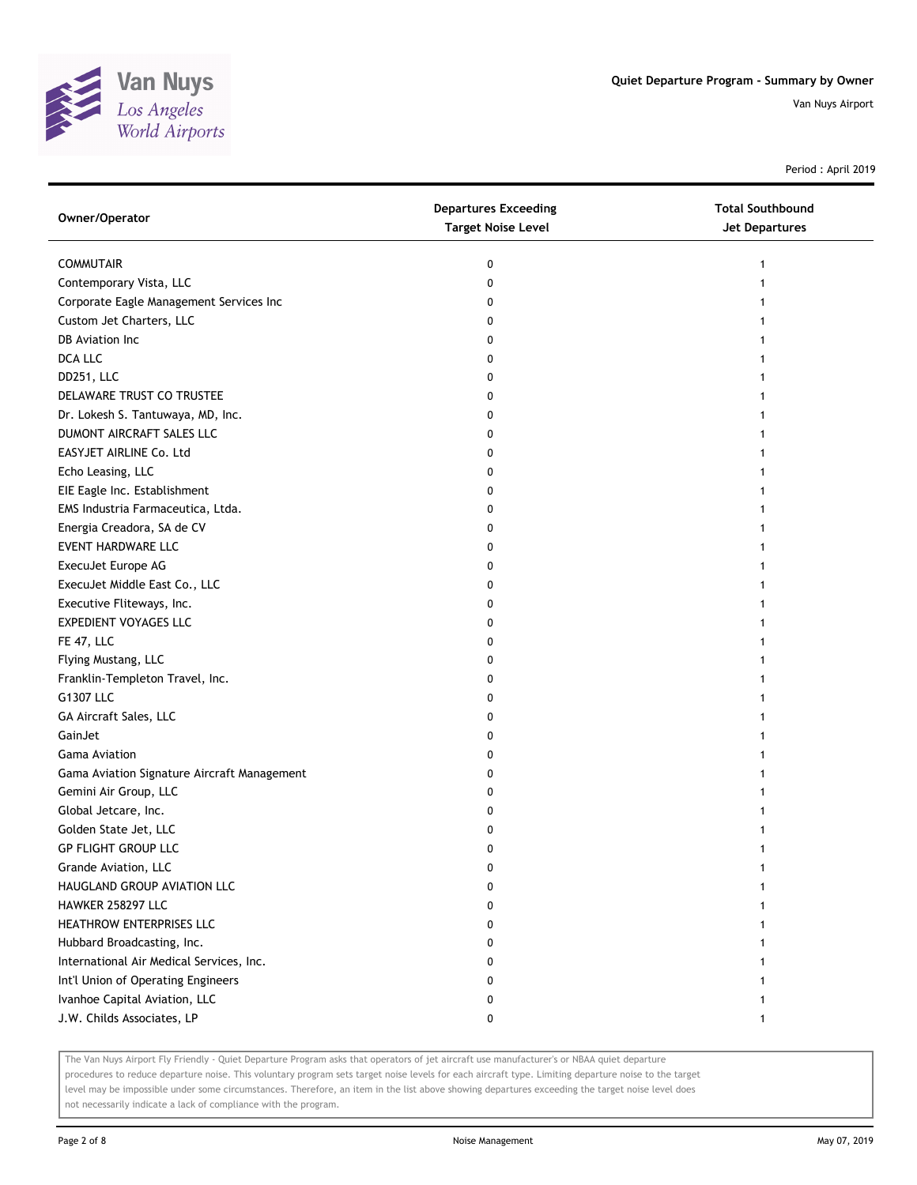

Period : April 2019

| Owner/Operator                              | <b>Departures Exceeding</b><br><b>Target Noise Level</b> | <b>Total Southbound</b><br><b>Jet Departures</b> |
|---------------------------------------------|----------------------------------------------------------|--------------------------------------------------|
| <b>COMMUTAIR</b>                            | 0                                                        | 1                                                |
| Contemporary Vista, LLC                     | 0                                                        |                                                  |
| Corporate Eagle Management Services Inc     | 0                                                        |                                                  |
| Custom Jet Charters, LLC                    | 0                                                        |                                                  |
| DB Aviation Inc                             | 0                                                        |                                                  |
| DCA LLC                                     | 0                                                        |                                                  |
| DD251, LLC                                  | 0                                                        |                                                  |
| DELAWARE TRUST CO TRUSTEE                   | 0                                                        |                                                  |
| Dr. Lokesh S. Tantuwaya, MD, Inc.           | 0                                                        |                                                  |
| DUMONT AIRCRAFT SALES LLC                   | 0                                                        |                                                  |
| EASYJET AIRLINE Co. Ltd                     | 0                                                        |                                                  |
| Echo Leasing, LLC                           | 0                                                        |                                                  |
| EIE Eagle Inc. Establishment                | 0                                                        |                                                  |
| EMS Industria Farmaceutica, Ltda.           | 0                                                        |                                                  |
| Energia Creadora, SA de CV                  | 0                                                        |                                                  |
| <b>EVENT HARDWARE LLC</b>                   | 0                                                        |                                                  |
| ExecuJet Europe AG                          | 0                                                        |                                                  |
| ExecuJet Middle East Co., LLC               | 0                                                        |                                                  |
| Executive Fliteways, Inc.                   | 0                                                        |                                                  |
| <b>EXPEDIENT VOYAGES LLC</b>                | 0                                                        |                                                  |
| FE 47, LLC                                  | 0                                                        |                                                  |
| Flying Mustang, LLC                         | 0                                                        |                                                  |
| Franklin-Templeton Travel, Inc.             | 0                                                        |                                                  |
| G1307 LLC                                   | 0                                                        |                                                  |
| GA Aircraft Sales, LLC                      | 0                                                        |                                                  |
| GainJet                                     | 0                                                        |                                                  |
| <b>Gama Aviation</b>                        | 0                                                        |                                                  |
| Gama Aviation Signature Aircraft Management | 0                                                        |                                                  |
| Gemini Air Group, LLC                       | 0                                                        |                                                  |
| Global Jetcare, Inc.                        | 0                                                        |                                                  |
| Golden State Jet, LLC                       | 0                                                        |                                                  |
| <b>GP FLIGHT GROUP LLC</b>                  | 0                                                        |                                                  |
| Grande Aviation, LLC                        | 0                                                        |                                                  |
| HAUGLAND GROUP AVIATION LLC                 | 0                                                        |                                                  |
| HAWKER 258297 LLC                           | 0                                                        |                                                  |
| HEATHROW ENTERPRISES LLC                    | 0                                                        |                                                  |
| Hubbard Broadcasting, Inc.                  | 0                                                        |                                                  |
| International Air Medical Services, Inc.    | 0                                                        |                                                  |
| Int'l Union of Operating Engineers          | 0                                                        |                                                  |
| Ivanhoe Capital Aviation, LLC               | 0                                                        |                                                  |
| J.W. Childs Associates, LP                  | 0                                                        | 1                                                |

The Van Nuys Airport Fly Friendly - Quiet Departure Program asks that operators of jet aircraft use manufacturer's or NBAA quiet departure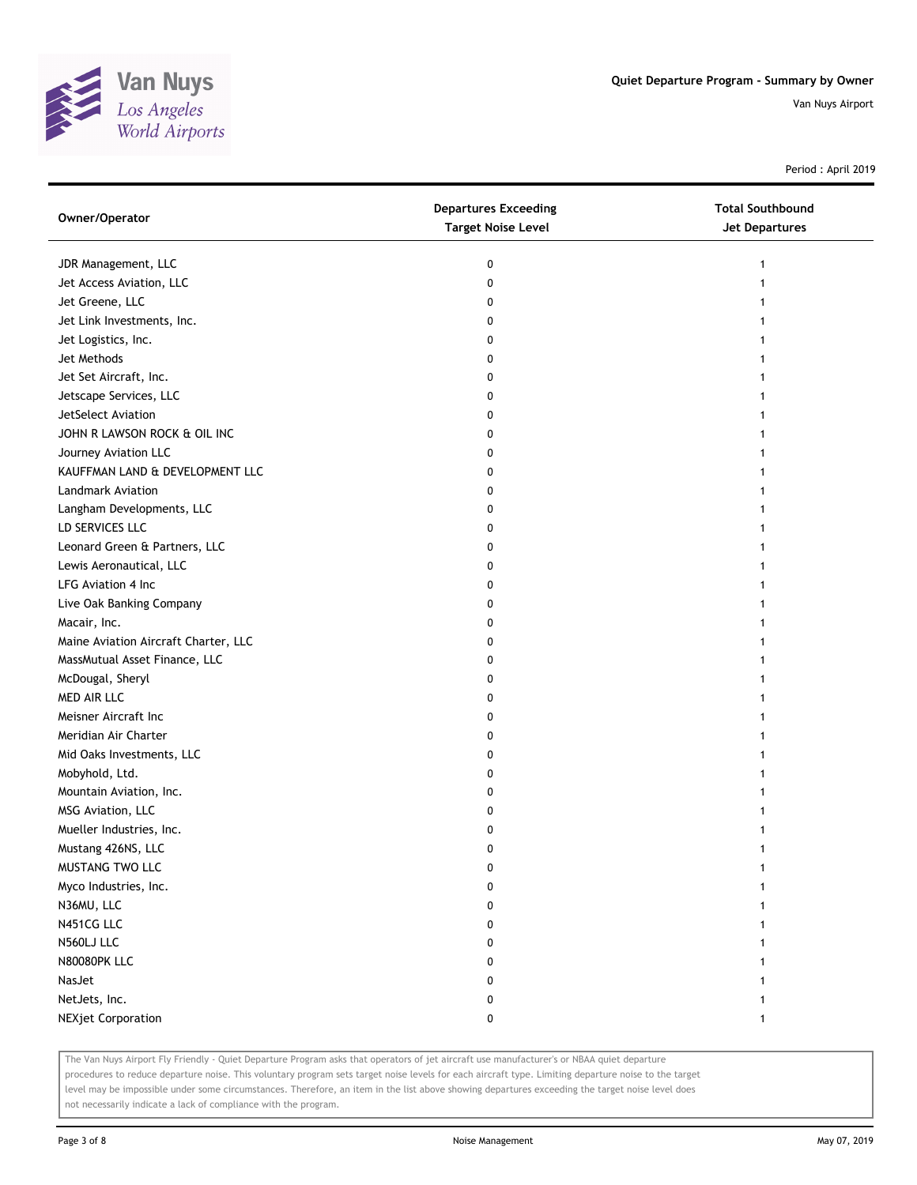

Period : April 2019

| Owner/Operator                       | <b>Departures Exceeding</b><br><b>Target Noise Level</b> | <b>Total Southbound</b><br><b>Jet Departures</b> |
|--------------------------------------|----------------------------------------------------------|--------------------------------------------------|
| JDR Management, LLC                  | 0                                                        | 1                                                |
| Jet Access Aviation, LLC             | 0                                                        |                                                  |
| Jet Greene, LLC                      | 0                                                        |                                                  |
| Jet Link Investments, Inc.           | 0                                                        |                                                  |
| Jet Logistics, Inc.                  | 0                                                        |                                                  |
| Jet Methods                          | 0                                                        |                                                  |
| Jet Set Aircraft, Inc.               | 0                                                        |                                                  |
| Jetscape Services, LLC               | 0                                                        |                                                  |
| JetSelect Aviation                   | 0                                                        |                                                  |
| JOHN R LAWSON ROCK & OIL INC         | 0                                                        |                                                  |
| Journey Aviation LLC                 | 0                                                        |                                                  |
| KAUFFMAN LAND & DEVELOPMENT LLC      | 0                                                        |                                                  |
| Landmark Aviation                    | 0                                                        |                                                  |
| Langham Developments, LLC            | 0                                                        |                                                  |
| LD SERVICES LLC                      | 0                                                        |                                                  |
| Leonard Green & Partners, LLC        | 0                                                        |                                                  |
| Lewis Aeronautical, LLC              | 0                                                        |                                                  |
| LFG Aviation 4 Inc                   | 0                                                        |                                                  |
| Live Oak Banking Company             | 0                                                        |                                                  |
| Macair, Inc.                         | 0                                                        |                                                  |
| Maine Aviation Aircraft Charter, LLC | 0                                                        |                                                  |
| MassMutual Asset Finance, LLC        | 0                                                        |                                                  |
| McDougal, Sheryl                     | 0                                                        |                                                  |
| MED AIR LLC                          | 0                                                        |                                                  |
| Meisner Aircraft Inc                 | 0                                                        |                                                  |
| Meridian Air Charter                 | 0                                                        |                                                  |
| Mid Oaks Investments, LLC            | 0                                                        |                                                  |
| Mobyhold, Ltd.                       | 0                                                        |                                                  |
| Mountain Aviation, Inc.              | 0                                                        |                                                  |
| MSG Aviation, LLC                    | 0                                                        |                                                  |
| Mueller Industries, Inc.             | 0                                                        |                                                  |
| Mustang 426NS, LLC                   | 0                                                        |                                                  |
| MUSTANG TWO LLC                      | 0                                                        |                                                  |
| Myco Industries, Inc.                | 0                                                        |                                                  |
| N36MU, LLC                           | 0                                                        |                                                  |
| N451CG LLC                           | 0                                                        |                                                  |
| N560LJ LLC                           | 0                                                        |                                                  |
| <b>N80080PK LLC</b>                  | 0                                                        |                                                  |
| NasJet                               | 0                                                        |                                                  |
| NetJets, Inc.                        | 0                                                        |                                                  |
| <b>NEXjet Corporation</b>            | 0                                                        |                                                  |

The Van Nuys Airport Fly Friendly - Quiet Departure Program asks that operators of jet aircraft use manufacturer's or NBAA quiet departure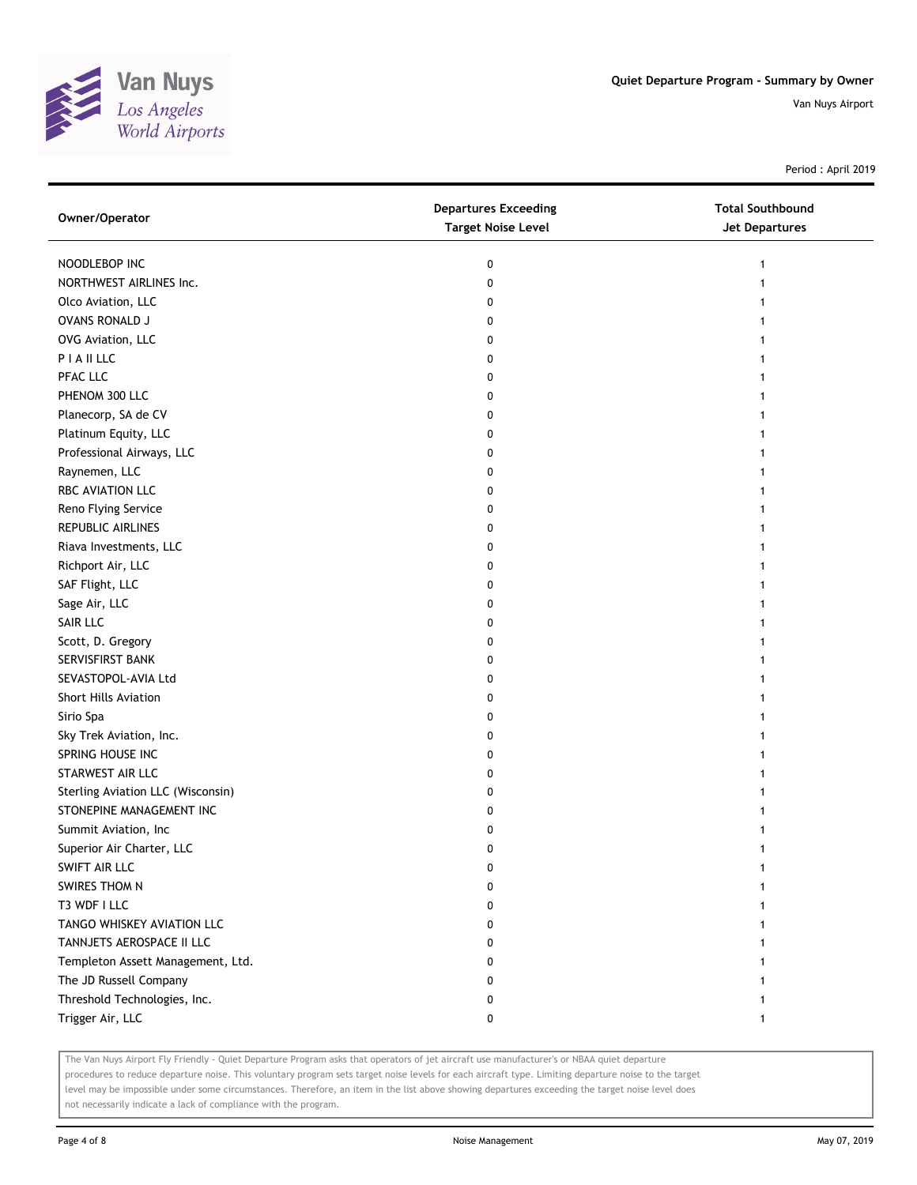

Period : April 2019

| Owner/Operator                    | <b>Departures Exceeding</b><br><b>Target Noise Level</b> | <b>Total Southbound</b><br><b>Jet Departures</b> |
|-----------------------------------|----------------------------------------------------------|--------------------------------------------------|
| NOODLEBOP INC                     | 0                                                        | 1                                                |
| NORTHWEST AIRLINES Inc.           | 0                                                        |                                                  |
| Olco Aviation, LLC                | 0                                                        | 1                                                |
| OVANS RONALD J                    | 0                                                        |                                                  |
| OVG Aviation, LLC                 | 0                                                        |                                                  |
| PIAILLC                           | 0                                                        |                                                  |
| PFAC LLC                          | 0                                                        |                                                  |
| PHENOM 300 LLC                    | 0                                                        |                                                  |
| Planecorp, SA de CV               | 0                                                        |                                                  |
| Platinum Equity, LLC              | 0                                                        |                                                  |
| Professional Airways, LLC         | 0                                                        |                                                  |
| Raynemen, LLC                     | 0                                                        |                                                  |
| RBC AVIATION LLC                  | 0                                                        |                                                  |
| Reno Flying Service               | 0                                                        | 1                                                |
| <b>REPUBLIC AIRLINES</b>          | 0                                                        |                                                  |
| Riava Investments, LLC            | 0                                                        | 1                                                |
| Richport Air, LLC                 | 0                                                        |                                                  |
| SAF Flight, LLC                   | 0                                                        |                                                  |
| Sage Air, LLC                     | 0                                                        |                                                  |
| SAIR LLC                          | 0                                                        |                                                  |
| Scott, D. Gregory                 | 0                                                        |                                                  |
| SERVISFIRST BANK                  | 0                                                        |                                                  |
| SEVASTOPOL-AVIA Ltd               | 0                                                        |                                                  |
| Short Hills Aviation              | 0                                                        |                                                  |
| Sirio Spa                         | 0                                                        |                                                  |
| Sky Trek Aviation, Inc.           | 0                                                        |                                                  |
| SPRING HOUSE INC                  | 0                                                        |                                                  |
| STARWEST AIR LLC                  | 0                                                        |                                                  |
| Sterling Aviation LLC (Wisconsin) | 0                                                        |                                                  |
| STONEPINE MANAGEMENT INC          | 0                                                        |                                                  |
| Summit Aviation, Inc              | 0                                                        |                                                  |
| Superior Air Charter, LLC         | 0                                                        |                                                  |
| SWIFT AIR LLC                     | $\pmb{0}$                                                | 1                                                |
| SWIRES THOM N                     | 0                                                        |                                                  |
| T3 WDF I LLC                      | 0                                                        |                                                  |
| TANGO WHISKEY AVIATION LLC        | 0                                                        |                                                  |
| TANNJETS AEROSPACE II LLC         | 0                                                        |                                                  |
| Templeton Assett Management, Ltd. | 0                                                        |                                                  |
| The JD Russell Company            | 0                                                        |                                                  |
| Threshold Technologies, Inc.      | 0                                                        |                                                  |
| Trigger Air, LLC                  | 0                                                        | 1                                                |

The Van Nuys Airport Fly Friendly - Quiet Departure Program asks that operators of jet aircraft use manufacturer's or NBAA quiet departure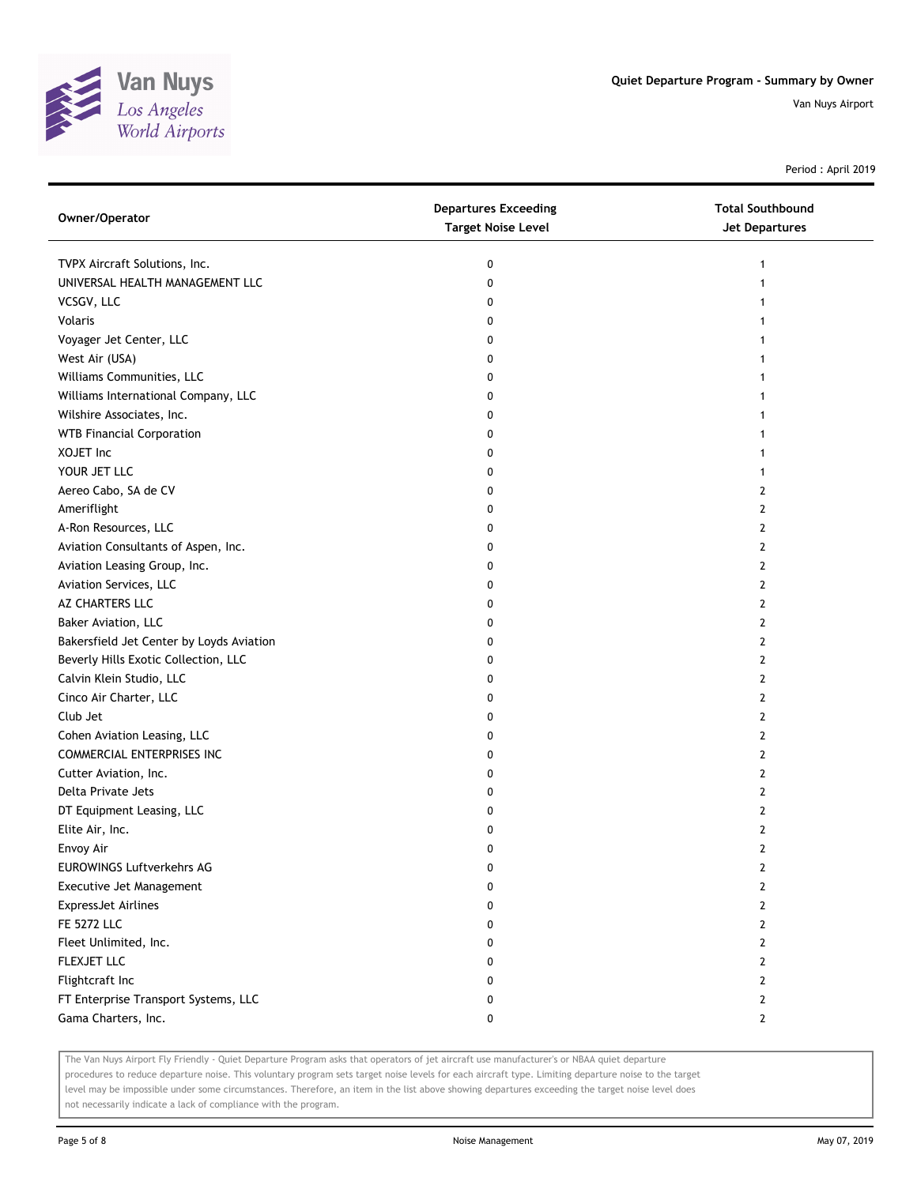

Period : April 2019

| Owner/Operator                           | <b>Departures Exceeding</b><br><b>Target Noise Level</b> | <b>Total Southbound</b><br>Jet Departures |
|------------------------------------------|----------------------------------------------------------|-------------------------------------------|
| TVPX Aircraft Solutions, Inc.            | 0                                                        | 1                                         |
| UNIVERSAL HEALTH MANAGEMENT LLC          | 0                                                        | 1                                         |
| VCSGV, LLC                               | 0                                                        |                                           |
| Volaris                                  | 0                                                        | 1                                         |
| Voyager Jet Center, LLC                  | 0                                                        | 1                                         |
| West Air (USA)                           | 0                                                        | 1                                         |
| Williams Communities, LLC                | 0                                                        | 1                                         |
| Williams International Company, LLC      | 0                                                        | 1                                         |
| Wilshire Associates, Inc.                | 0                                                        | 1                                         |
| <b>WTB Financial Corporation</b>         | 0                                                        |                                           |
| XOJET Inc                                | 0                                                        |                                           |
| YOUR JET LLC                             | 0                                                        | 1                                         |
| Aereo Cabo, SA de CV                     | 0                                                        | 2                                         |
| Ameriflight                              | 0                                                        | 2                                         |
| A-Ron Resources, LLC                     | 0                                                        | $\mathbf{2}$                              |
| Aviation Consultants of Aspen, Inc.      | 0                                                        | 2                                         |
| Aviation Leasing Group, Inc.             | 0                                                        | $\overline{2}$                            |
| Aviation Services, LLC                   | 0                                                        | 2                                         |
| AZ CHARTERS LLC                          | 0                                                        | 2                                         |
| Baker Aviation, LLC                      | 0                                                        | $\overline{2}$                            |
| Bakersfield Jet Center by Loyds Aviation | 0                                                        | $\overline{2}$                            |
| Beverly Hills Exotic Collection, LLC     | 0                                                        | $\overline{2}$                            |
| Calvin Klein Studio, LLC                 | 0                                                        | 2                                         |
| Cinco Air Charter, LLC                   | 0                                                        | 2                                         |
| Club Jet                                 | 0                                                        | $\overline{2}$                            |
| Cohen Aviation Leasing, LLC              | 0                                                        | 2                                         |
| COMMERCIAL ENTERPRISES INC               | 0                                                        | $\overline{2}$                            |
| Cutter Aviation, Inc.                    | 0                                                        | 2                                         |
| Delta Private Jets                       | 0                                                        | 2                                         |
| DT Equipment Leasing, LLC                | 0                                                        | 2                                         |
| Elite Air, Inc.                          | 0                                                        | $\overline{2}$                            |
| Envoy Air                                | 0                                                        | $\mathbf{2}$                              |
| <b>EUROWINGS Luftverkehrs AG</b>         | 0                                                        | 2                                         |
| Executive Jet Management                 | 0                                                        | $\overline{2}$                            |
| <b>ExpressJet Airlines</b>               | 0                                                        | 2                                         |
| <b>FE 5272 LLC</b>                       | 0                                                        | $\mathbf{2}$                              |
| Fleet Unlimited, Inc.                    | 0                                                        | 2                                         |
| FLEXJET LLC                              | 0                                                        | $\mathbf{2}$                              |
| Flightcraft Inc                          | 0                                                        | 2                                         |
| FT Enterprise Transport Systems, LLC     | 0                                                        | $\mathbf{2}$                              |
| Gama Charters, Inc.                      | 0                                                        | $\mathbf{2}$                              |

The Van Nuys Airport Fly Friendly - Quiet Departure Program asks that operators of jet aircraft use manufacturer's or NBAA quiet departure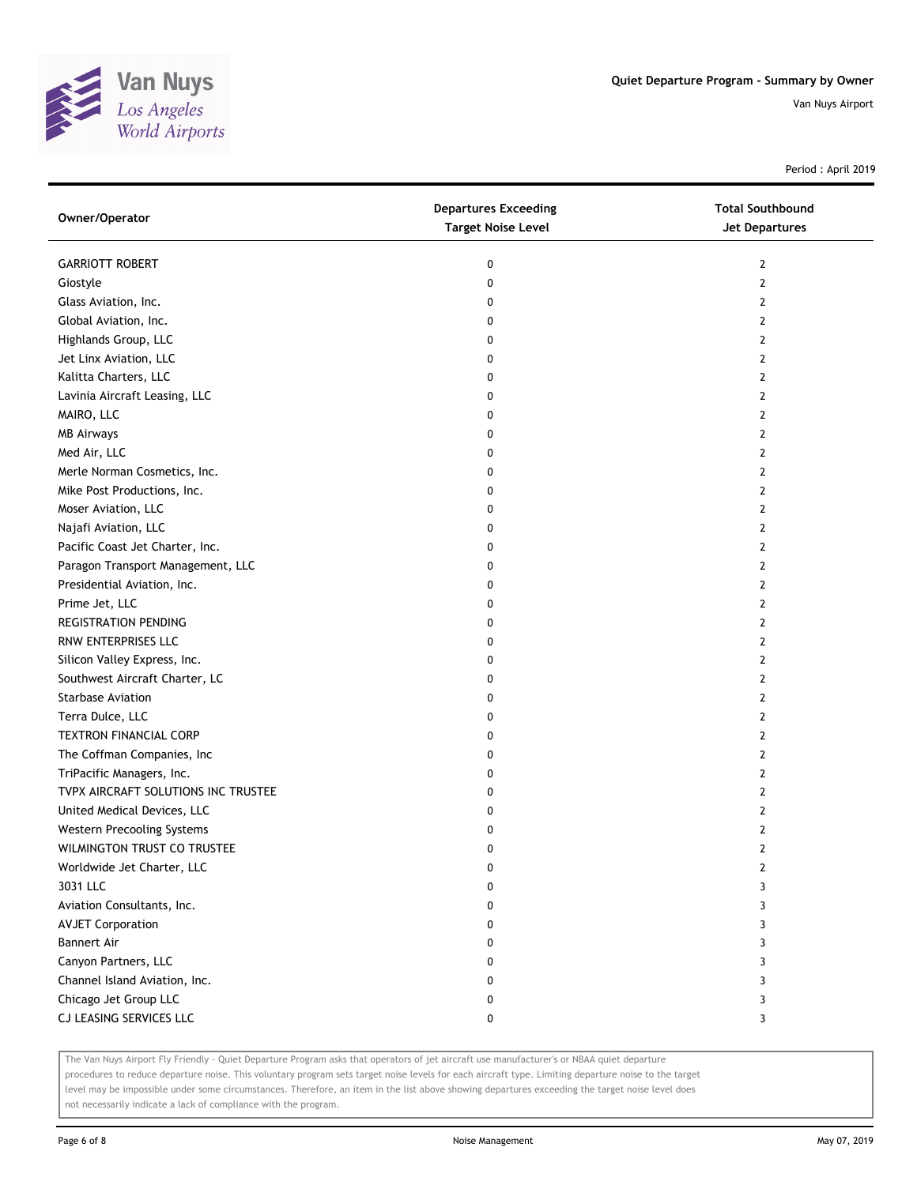

Period : April 2019

| Owner/Operator                      | <b>Departures Exceeding</b><br><b>Target Noise Level</b> | <b>Total Southbound</b><br>Jet Departures |
|-------------------------------------|----------------------------------------------------------|-------------------------------------------|
| <b>GARRIOTT ROBERT</b>              | 0                                                        | 2                                         |
| Giostyle                            | 0                                                        | 2                                         |
| Glass Aviation, Inc.                | 0                                                        | $\mathbf{2}$                              |
| Global Aviation, Inc.               | 0                                                        | 2                                         |
| Highlands Group, LLC                | 0                                                        | 2                                         |
| Jet Linx Aviation, LLC              | 0                                                        | 2                                         |
| Kalitta Charters, LLC               | 0                                                        | 2                                         |
| Lavinia Aircraft Leasing, LLC       | 0                                                        | $\mathbf{2}$                              |
| MAIRO, LLC                          | 0                                                        | $\mathbf{2}$                              |
| <b>MB Airways</b>                   | 0                                                        | $\overline{2}$                            |
| Med Air, LLC                        | 0                                                        | $\mathbf{2}$                              |
| Merle Norman Cosmetics, Inc.        | 0                                                        | 2                                         |
| Mike Post Productions, Inc.         | 0                                                        | $\mathbf{2}$                              |
| Moser Aviation, LLC                 | 0                                                        | 2                                         |
| Najafi Aviation, LLC                | 0                                                        | 2                                         |
| Pacific Coast Jet Charter, Inc.     | 0                                                        | 2                                         |
| Paragon Transport Management, LLC   | 0                                                        | 2                                         |
| Presidential Aviation, Inc.         | 0                                                        | $\overline{2}$                            |
| Prime Jet, LLC                      | 0                                                        | $\overline{2}$                            |
| <b>REGISTRATION PENDING</b>         | 0                                                        | 2                                         |
| RNW ENTERPRISES LLC                 | 0                                                        | $\overline{2}$                            |
| Silicon Valley Express, Inc.        | 0                                                        | 2                                         |
| Southwest Aircraft Charter, LC      | 0                                                        | $\overline{2}$                            |
| Starbase Aviation                   | 0                                                        | 2                                         |
| Terra Dulce, LLC                    | 0                                                        | 2                                         |
| TEXTRON FINANCIAL CORP              | 0                                                        | 2                                         |
| The Coffman Companies, Inc          | 0                                                        | 2                                         |
| TriPacific Managers, Inc.           | 0                                                        | $\mathbf{2}$                              |
| TVPX AIRCRAFT SOLUTIONS INC TRUSTEE | 0                                                        | $\mathbf{2}$                              |
| United Medical Devices, LLC         | 0                                                        | $\overline{2}$                            |
| Western Precooling Systems          | 0                                                        | $\overline{2}$                            |
| WILMINGTON TRUST CO TRUSTEE         | 0                                                        | $\mathbf{2}$                              |
| Worldwide Jet Charter, LLC          | 0                                                        | 2                                         |
| 3031 LLC                            | 0                                                        | 3                                         |
| Aviation Consultants, Inc.          | 0                                                        | 3                                         |
| <b>AVJET Corporation</b>            | 0                                                        | 3                                         |
| <b>Bannert Air</b>                  | 0                                                        | 3                                         |
| Canyon Partners, LLC                | 0                                                        | 3                                         |
| Channel Island Aviation, Inc.       | 0                                                        | 3                                         |
| Chicago Jet Group LLC               | 0                                                        | 3                                         |
| CJ LEASING SERVICES LLC             | 0                                                        | 3                                         |

The Van Nuys Airport Fly Friendly - Quiet Departure Program asks that operators of jet aircraft use manufacturer's or NBAA quiet departure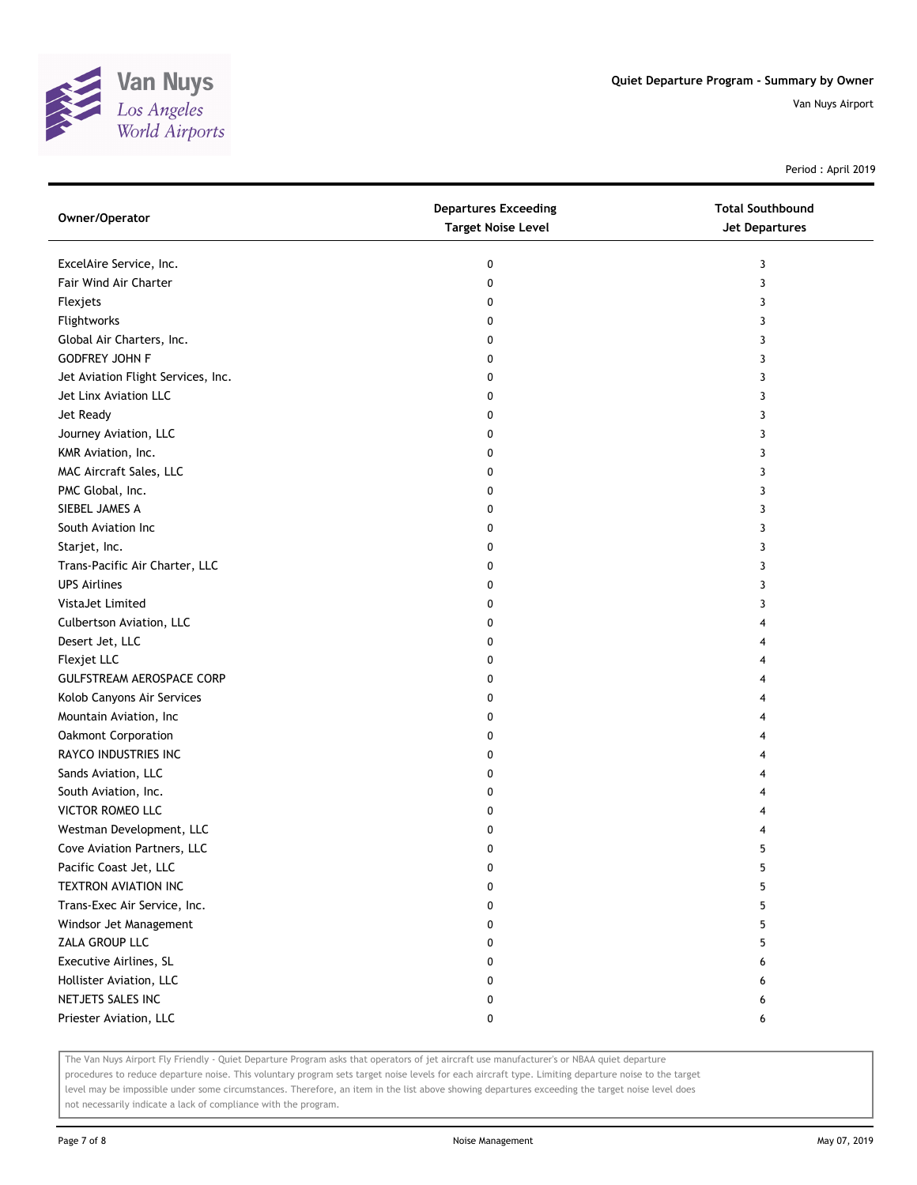

Period : April 2019

| Owner/Operator                     | <b>Departures Exceeding</b><br><b>Target Noise Level</b> | <b>Total Southbound</b><br>Jet Departures |
|------------------------------------|----------------------------------------------------------|-------------------------------------------|
| ExcelAire Service, Inc.            | 0                                                        | 3                                         |
| Fair Wind Air Charter              | 0                                                        | 3                                         |
| Flexjets                           | 0                                                        | 3                                         |
| Flightworks                        | 0                                                        | 3                                         |
| Global Air Charters, Inc.          | 0                                                        | 3                                         |
| <b>GODFREY JOHN F</b>              | 0                                                        | 3                                         |
| Jet Aviation Flight Services, Inc. | 0                                                        | 3                                         |
| Jet Linx Aviation LLC              | 0                                                        | 3                                         |
| Jet Ready                          | 0                                                        | 3                                         |
| Journey Aviation, LLC              | 0                                                        | 3                                         |
| KMR Aviation, Inc.                 | 0                                                        | 3                                         |
| MAC Aircraft Sales, LLC            | 0                                                        | 3                                         |
| PMC Global, Inc.                   | 0                                                        | 3                                         |
| SIEBEL JAMES A                     | 0                                                        | 3                                         |
| South Aviation Inc                 | 0                                                        | 3                                         |
| Starjet, Inc.                      | 0                                                        | 3                                         |
| Trans-Pacific Air Charter, LLC     | 0                                                        | 3                                         |
| <b>UPS Airlines</b>                | 0                                                        | 3                                         |
| VistaJet Limited                   | 0                                                        | 3                                         |
| Culbertson Aviation, LLC           | 0                                                        |                                           |
| Desert Jet, LLC                    | 0                                                        |                                           |
| Flexjet LLC                        | 0                                                        | 4                                         |
| GULFSTREAM AEROSPACE CORP          | 0                                                        |                                           |
| Kolob Canyons Air Services         | 0                                                        |                                           |
| Mountain Aviation, Inc             | 0                                                        |                                           |
| Oakmont Corporation                | 0                                                        |                                           |
| RAYCO INDUSTRIES INC               | 0                                                        | 4                                         |
| Sands Aviation, LLC                | 0                                                        |                                           |
| South Aviation, Inc.               | 0                                                        |                                           |
| VICTOR ROMEO LLC                   | 0                                                        |                                           |
| Westman Development, LLC           | 0                                                        |                                           |
| Cove Aviation Partners, LLC        | 0                                                        | 5                                         |
| Pacific Coast Jet, LLC             | 0                                                        | 5                                         |
| TEXTRON AVIATION INC               | 0                                                        | 5                                         |
| Trans-Exec Air Service, Inc.       | 0                                                        | 5                                         |
| Windsor Jet Management             | 0                                                        | 5                                         |
| ZALA GROUP LLC                     | 0                                                        | 5                                         |
| Executive Airlines, SL             | 0                                                        | 6                                         |
| Hollister Aviation, LLC            | 0                                                        | 6                                         |
| NETJETS SALES INC                  | 0                                                        | 6                                         |
| Priester Aviation, LLC             | 0                                                        | 6                                         |

The Van Nuys Airport Fly Friendly - Quiet Departure Program asks that operators of jet aircraft use manufacturer's or NBAA quiet departure